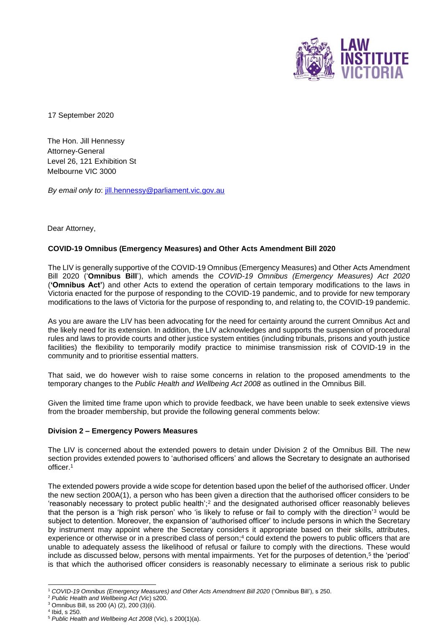

17 September 2020

The Hon. Jill Hennessy Attorney-General Level 26, 121 Exhibition St Melbourne VIC 3000

*By email only to*: jill.hennessy@parliament.vic.gov.au

Dear Attorney,

## **COVID-19 Omnibus (Emergency Measures) and Other Acts Amendment Bill 2020**

The LIV is generally supportive of the COVID-19 Omnibus (Emergency Measures) and Other Acts Amendment Bill 2020 ('**Omnibus Bill**'), which amends the *COVID-19 Omnibus (Emergency Measures) Act 2020* (**'Omnibus Act'**) and other Acts to extend the operation of certain temporary modifications to the laws in Victoria enacted for the purpose of responding to the COVID-19 pandemic, and to provide for new temporary modifications to the laws of Victoria for the purpose of responding to, and relating to, the COVID-19 pandemic.

As you are aware the LIV has been advocating for the need for certainty around the current Omnibus Act and the likely need for its extension. In addition, the LIV acknowledges and supports the suspension of procedural rules and laws to provide courts and other justice system entities (including tribunals, prisons and youth justice facilities) the flexibility to temporarily modify practice to minimise transmission risk of COVID-19 in the community and to prioritise essential matters.

That said, we do however wish to raise some concerns in relation to the proposed amendments to the temporary changes to the *Public Health and Wellbeing Act 2008* as outlined in the Omnibus Bill.

Given the limited time frame upon which to provide feedback, we have been unable to seek extensive views from the broader membership, but provide the following general comments below:

## **Division 2 – Emergency Powers Measures**

The LIV is concerned about the extended powers to detain under Division 2 of the Omnibus Bill. The new section provides extended powers to 'authorised officers' and allows the Secretary to designate an authorised officer.<sup>1</sup>

The extended powers provide a wide scope for detention based upon the belief of the authorised officer. Under the new section 200A(1), a person who has been given a direction that the authorised officer considers to be 'reasonably necessary to protect public health';<sup>2</sup> and the designated authorised officer reasonably believes that the person is a 'high risk person' who 'is likely to refuse or fail to comply with the direction'<sup>3</sup> would be subject to detention. Moreover, the expansion of 'authorised officer' to include persons in which the Secretary by instrument may appoint where the Secretary considers it appropriate based on their skills, attributes, experience or otherwise or in a prescribed class of person;<sup>4</sup> could extend the powers to public officers that are unable to adequately assess the likelihood of refusal or failure to comply with the directions. These would include as discussed below, persons with mental impairments. Yet for the purposes of detention,<sup>5</sup> the 'period' is that which the authorised officer considers is reasonably necessary to eliminate a serious risk to public

<sup>1</sup> *COVID-19 Omnibus (Emergency Measures) and Other Acts Amendment Bill 2020* ('Omnibus Bill'), s 250.

<sup>2</sup> *Public Health and Wellbeing Act (Vic*) s200.

<sup>3</sup> Omnibus Bill, ss 200 (A) (2), 200 (3)(ii).

<sup>4</sup> Ibid, s 250.

<sup>5</sup> *Public Health and Wellbeing Act 2008* (Vic), s 200(1)(a).